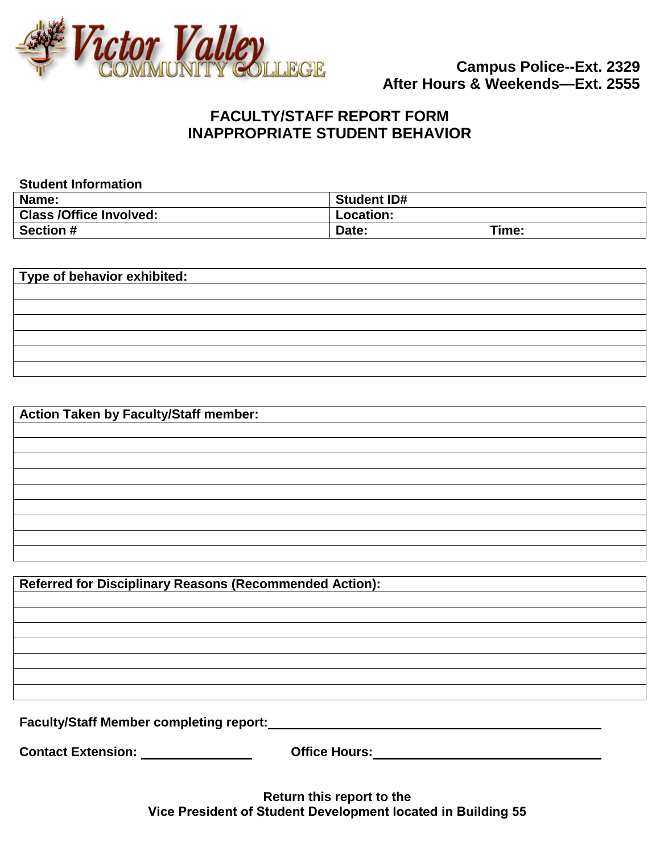

## **FACULTY/STAFF REPORT FORM INAPPROPRIATE STUDENT BEHAVIOR**

| <b>Student ID#</b> |
|--------------------|
| Location:          |
| Time:<br>Date:     |
|                    |

**Type of behavior exhibited:**

**Action Taken by Faculty/Staff member:**

**Referred for Disciplinary Reasons (Recommended Action):**

**Faculty/Staff Member completing report:**

**Contact Extension: Office Hours:** 

**Return this report to the Vice President of Student Development located in Building 55**